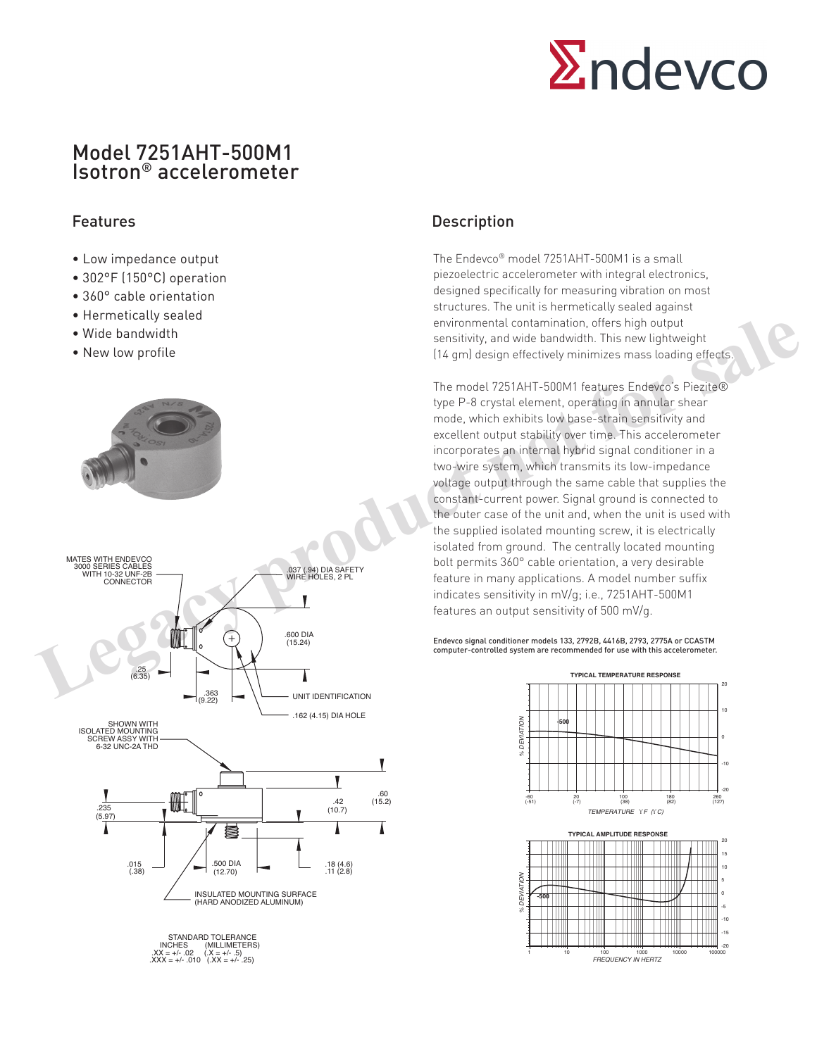

## Model 7251AHT-500M1 Isotron® accelerometer

- Low impedance output
- 302°F (150°C) operation
- 360° cable orientation
- Hermetically sealed
- Wide bandwidth
- New low profile





INCHES (MILLIMETERS) .XX = +/- .02 (.X = +/- .5) .XXX = +/- .010 (.XX = +/- .25)

### Features **Description**

The Endevco® model 7251AHT-500M1 is a small piezoelectric accelerometer with integral electronics, designed specifically for measuring vibration on most structures. The unit is hermetically sealed against environmental contamination, offers high output sensitivity, and wide bandwidth. This new lightweight (14 gm) design effectively minimizes mass loading effects.

The model 7251AHT-500M1 features Endevco's Piezite® type P-8 crystal element, operating in annular shear mode, which exhibits low base-strain sensitivity and excellent output stability over time. This accelerometer incorporates an internal hybrid signal conditioner in a two-wire system, which transmits its low-impedance voltage output through the same cable that supplies the constant-current power. Signal ground is connected to the outer case of the unit and, when the unit is used with the supplied isolated mounting screw, it is electrically isolated from ground. The centrally located mounting bolt permits 360° cable orientation, a very desirable feature in many applications. A model number suffix indicates sensitivity in mV/g; i.e., 7251AHT-500M1 features an output sensitivity of 500 mV/g. • Wide bandwidth<br>
• New low profile<br>
• New low profile<br>
• New low profile<br>
• New low profile<br>
• New low profile<br>
• I14 gml design effectively minimizes mass loading effects.<br>
• The model 221AH element, operating framely

Endevco signal conditioner models 133, 2792B, 4416B, 2793, 2775A or CCASTM computer-controlled system are recommended for use with this accelerometer.